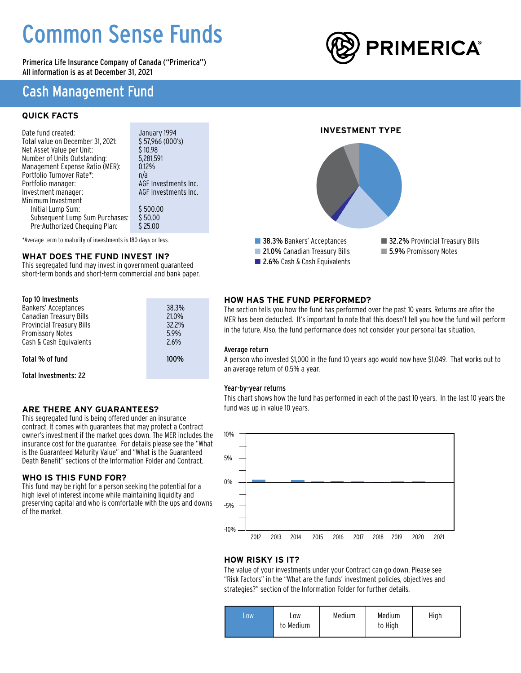# Common Sense Funds

Primerica Life Insurance Company of Canada ("Primerica") All information is as at December 31, 2021

### Cash Management Fund

### **QUICK FACTS**

| Date fund created:                | January 1994         |  |
|-----------------------------------|----------------------|--|
| Total value on December 31, 2021: | \$57.966(000's)      |  |
| Net Asset Value per Unit:         | \$10.98              |  |
| Number of Units Outstanding:      | 5,281,591            |  |
| Management Expense Ratio (MER):   | 0.12%                |  |
| Portfolio Turnover Rate*:         | n/a                  |  |
| Portfolio manager:                | AGF Investments Inc. |  |
| Investment manager:               | AGF Investments Inc. |  |
| Minimum Investment                |                      |  |
| Initial Lump Sum:                 | \$500.00             |  |
| Subsequent Lump Sum Purchases:    | \$50.00              |  |
| Pre-Authorized Chequing Plan:     | \$25.00              |  |

\*Average term to maturity of investments is 180 days or less.

### **WHAT DOES THE FUND INVEST IN?**

This segregated fund may invest in government guaranteed short-term bonds and short-term commercial and bank paper.

| Top 10 Investments<br>Bankers' Acceptances<br>Canadian Treasury Bills<br>Provincial Treasury Bills<br><b>Promissory Notes</b><br>Cash & Cash Equivalents | 38.3%<br>21.0%<br>32.2%<br>5.9%<br>2.6% |
|----------------------------------------------------------------------------------------------------------------------------------------------------------|-----------------------------------------|
| Total % of fund                                                                                                                                          | $100\%$                                 |
| Total Investments: 22                                                                                                                                    |                                         |

### **ARE THERE ANY GUARANTEES?**

This segregated fund is being offered under an insurance contract. It comes with guarantees that may protect a Contract owner's investment if the market goes down. The MER includes the insurance cost for the guarantee. For details please see the "What is the Guaranteed Maturity Value" and "What is the Guaranteed Death Benefit" sections of the Information Folder and Contract.

### **WHO IS THIS FUND FOR?**

This fund may be right for a person seeking the potential for a high level of interest income while maintaining liquidity and preserving capital and who is comfortable with the ups and downs of the market.

# **PRIMERICA®**

### **INVESTMENT TYPE**



### **HOW HAS THE FUND PERFORMED?**

The section tells you how the fund has performed over the past 10 years. Returns are after the MER has been deducted. It's important to note that this doesn't tell you how the fund will perform in the future. Also, the fund performance does not consider your personal tax situation.

#### Average return

A person who invested \$1,000 in the fund 10 years ago would now have \$1,049. That works out to an average return of 0.5% a year.

### Year-by-year returns

This chart shows how the fund has performed in each of the past 10 years. In the last 10 years the fund was up in value 10 years.



### **HOW RISKY IS IT?**

The value of your investments under your Contract can go down. Please see "Risk Factors" in the "What are the funds' investment policies, objectives and strategies?" section of the Information Folder for further details.

| <b>LOW</b> | LOW<br>to Medium | Medium | Medium<br>to High | High |
|------------|------------------|--------|-------------------|------|
|------------|------------------|--------|-------------------|------|